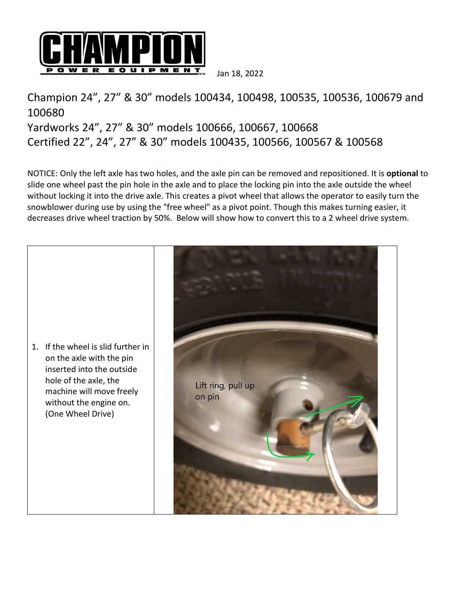

Jan 18, 2022

## Champion 24", 27" & 30" models 100434, 100498, 100535, 100536, 100679 and 100680 Yardworks 24", 27" & 30" models 100666, 100667, 100668 Certified 22", 24", 27" & 30" models 100435, 100566, 100567 & 100568

NOTICE: Only the left axle has two holes, and the axle pin can be removed and repositioned. It is **optional** to slide one wheel past the pin hole in the axle and to place the locking pin into the axle outside the wheel without locking it into the drive axle. This creates a pivot wheel that allows the operator to easily turn the snowblower during use by using the "free wheel" as a pivot point. Though this makes turning easier, it decreases drive wheel traction by 50%. Below will show how to convert this to a 2 wheel drive system.